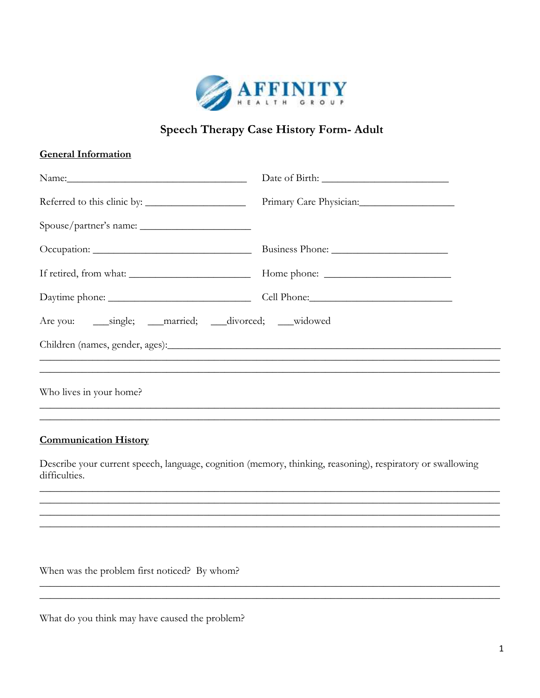

## **Speech Therapy Case History Form- Adult**

## **General Information**

## **Communication History**

Describe your current speech, language, cognition (memory, thinking, reasoning), respiratory or swallowing difficulties.

When was the problem first noticed? By whom?

What do you think may have caused the problem?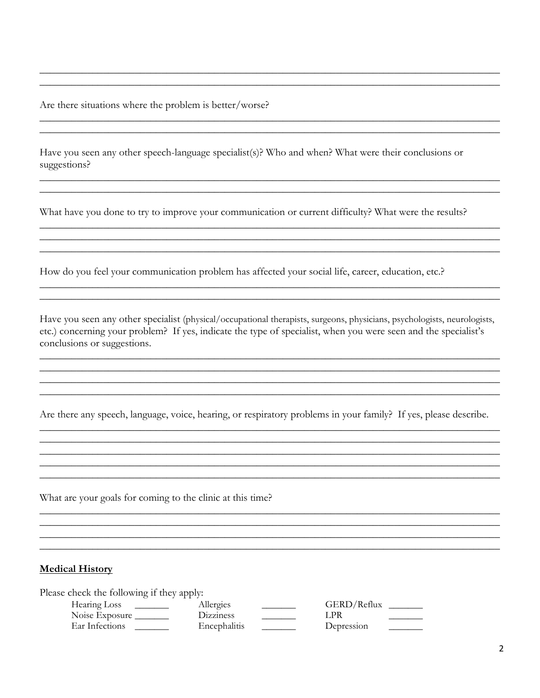Are there situations where the problem is better/worse?

Have you seen any other speech-language specialist(s)? Who and when? What were their conclusions or suggestions?

What have you done to try to improve your communication or current difficulty? What were the results?

How do you feel your communication problem has affected your social life, career, education, etc.?

Have you seen any other specialist (physical/occupational therapists, surgeons, physicians, psychologists, neurologists, etc.) concerning your problem? If yes, indicate the type of specialist, when you were seen and the specialist's conclusions or suggestions.

Are there any speech, language, voice, hearing, or respiratory problems in your family? If yes, please describe.

What are your goals for coming to the clinic at this time?

## **Medical History**

Please check the following if they apply:

| Hearing Loss   | Allergies             | GERD/Reflux |  |
|----------------|-----------------------|-------------|--|
| Noise Exposure | D <sub>1</sub> zzines | LPR         |  |
| Ear Infections | Encephalitis          | Depression  |  |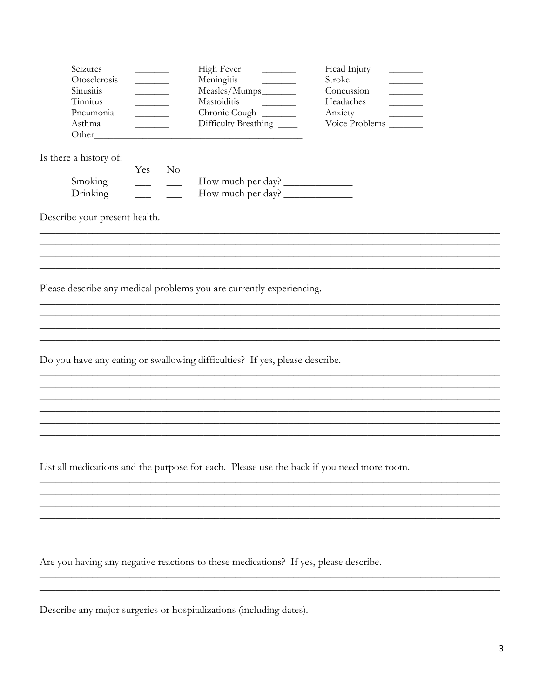| Seizures<br>Otosclerosis<br>Sinusitis<br>Tinnitus<br>Pneumonia<br>Asthma                                                                            | <u> Liberatura de la pro</u><br><u> Liberatura de la p</u><br><u>and the company of the company of the company of the company of the company of the company of the company of the company of the company of the company of the company of the company of the company of the company of the com</u> |                | High Fever<br>Meningitis<br>Measles/Mumps________<br>Mastoiditis<br>Chronic Cough<br>Difficulty Breathing<br><u> 1989 - Johann Barn, mars et al. 1989 - Johann Barn, mars et al. 1989 - Johann Barn, mars et al. 1989 - Johann B</u> | $\frac{1}{2}$ and $\frac{1}{2}$ and $\frac{1}{2}$ and $\frac{1}{2}$ and $\frac{1}{2}$ and $\frac{1}{2}$ and $\frac{1}{2}$ and $\frac{1}{2}$ and $\frac{1}{2}$ and $\frac{1}{2}$ and $\frac{1}{2}$ and $\frac{1}{2}$ and $\frac{1}{2}$ and $\frac{1}{2}$ and $\frac{1}{2}$ and $\frac{1}{2}$ a | Head Injury<br>Stroke<br>Concussion<br>Headaches<br>Anxiety<br>Voice Problems | <u> 1999 - Johann Barnett, f</u><br><u> Linda and a strong and a strong strong</u> |  |
|-----------------------------------------------------------------------------------------------------------------------------------------------------|----------------------------------------------------------------------------------------------------------------------------------------------------------------------------------------------------------------------------------------------------------------------------------------------------|----------------|--------------------------------------------------------------------------------------------------------------------------------------------------------------------------------------------------------------------------------------|-----------------------------------------------------------------------------------------------------------------------------------------------------------------------------------------------------------------------------------------------------------------------------------------------|-------------------------------------------------------------------------------|------------------------------------------------------------------------------------|--|
| Is there a history of:<br>Smoking<br>Drinking                                                                                                       | Yes                                                                                                                                                                                                                                                                                                | N <sub>o</sub> | How much per day?                                                                                                                                                                                                                    |                                                                                                                                                                                                                                                                                               |                                                                               |                                                                                    |  |
| Describe your present health.                                                                                                                       |                                                                                                                                                                                                                                                                                                    |                |                                                                                                                                                                                                                                      |                                                                                                                                                                                                                                                                                               |                                                                               |                                                                                    |  |
| Please describe any medical problems you are currently experiencing.<br>Do you have any eating or swallowing difficulties? If yes, please describe. |                                                                                                                                                                                                                                                                                                    |                |                                                                                                                                                                                                                                      |                                                                                                                                                                                                                                                                                               |                                                                               |                                                                                    |  |
|                                                                                                                                                     |                                                                                                                                                                                                                                                                                                    |                |                                                                                                                                                                                                                                      |                                                                                                                                                                                                                                                                                               |                                                                               |                                                                                    |  |
| List all medications and the purpose for each. Please use the back if you need more room.                                                           |                                                                                                                                                                                                                                                                                                    |                |                                                                                                                                                                                                                                      |                                                                                                                                                                                                                                                                                               |                                                                               |                                                                                    |  |
|                                                                                                                                                     |                                                                                                                                                                                                                                                                                                    |                |                                                                                                                                                                                                                                      |                                                                                                                                                                                                                                                                                               |                                                                               |                                                                                    |  |

Are you having any negative reactions to these medications? If yes, please describe.

Describe any major surgeries or hospitalizations (including dates).